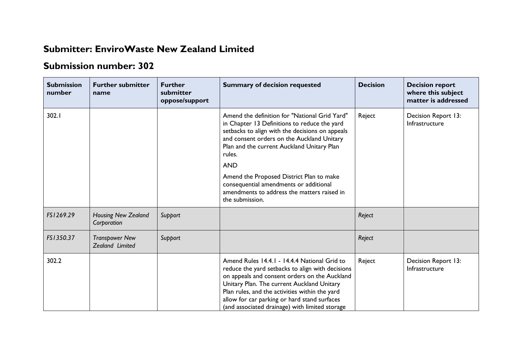## **Submitter: EnviroWaste New Zealand Limited**

## **Submission number: 302**

| <b>Submission</b><br>number | <b>Further submitter</b><br>name          | <b>Further</b><br>submitter<br>oppose/support | <b>Summary of decision requested</b>                                                                                                                                                                                                                                                                                                                | <b>Decision</b> | <b>Decision report</b><br>where this subject<br>matter is addressed |
|-----------------------------|-------------------------------------------|-----------------------------------------------|-----------------------------------------------------------------------------------------------------------------------------------------------------------------------------------------------------------------------------------------------------------------------------------------------------------------------------------------------------|-----------------|---------------------------------------------------------------------|
| 302.1                       |                                           |                                               | Amend the definition for "National Grid Yard"<br>in Chapter 13 Definitions to reduce the yard<br>setbacks to align with the decisions on appeals<br>and consent orders on the Auckland Unitary<br>Plan and the current Auckland Unitary Plan<br>rules.                                                                                              | Reject          | Decision Report 13:<br>Infrastructure                               |
|                             |                                           |                                               | <b>AND</b>                                                                                                                                                                                                                                                                                                                                          |                 |                                                                     |
|                             |                                           |                                               | Amend the Proposed District Plan to make<br>consequential amendments or additional<br>amendments to address the matters raised in<br>the submission.                                                                                                                                                                                                |                 |                                                                     |
| FS1269.29                   | <b>Housing New Zealand</b><br>Corporation | Support                                       |                                                                                                                                                                                                                                                                                                                                                     | Reject          |                                                                     |
| FS1350.37                   | <b>Transpower New</b><br>Zealand Limited  | Support                                       |                                                                                                                                                                                                                                                                                                                                                     | Reject          |                                                                     |
| 302.2                       |                                           |                                               | Amend Rules 14.4.1 - 14.4.4 National Grid to<br>reduce the yard setbacks to align with decisions<br>on appeals and consent orders on the Auckland<br>Unitary Plan. The current Auckland Unitary<br>Plan rules, and the activities within the yard<br>allow for car parking or hard stand surfaces<br>(and associated drainage) with limited storage | Reject          | Decision Report 13:<br>Infrastructure                               |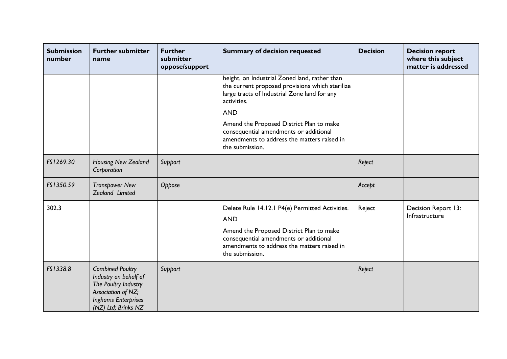| <b>Submission</b><br>number | <b>Further submitter</b><br>name                                                                                                                    | <b>Further</b><br>submitter<br>oppose/support | <b>Summary of decision requested</b>                                                                                                                            | <b>Decision</b> | <b>Decision report</b><br>where this subject<br>matter is addressed |
|-----------------------------|-----------------------------------------------------------------------------------------------------------------------------------------------------|-----------------------------------------------|-----------------------------------------------------------------------------------------------------------------------------------------------------------------|-----------------|---------------------------------------------------------------------|
|                             |                                                                                                                                                     |                                               | height, on Industrial Zoned land, rather than<br>the current proposed provisions which sterilize<br>large tracts of Industrial Zone land for any<br>activities. |                 |                                                                     |
|                             |                                                                                                                                                     |                                               | <b>AND</b>                                                                                                                                                      |                 |                                                                     |
|                             |                                                                                                                                                     |                                               | Amend the Proposed District Plan to make<br>consequential amendments or additional<br>amendments to address the matters raised in<br>the submission.            |                 |                                                                     |
| FS1269.30                   | Housing New Zealand<br>Corporation                                                                                                                  | Support                                       |                                                                                                                                                                 | Reject          |                                                                     |
| FS1350.59                   | <b>Transpower New</b><br>Zealand Limited                                                                                                            | Oppose                                        |                                                                                                                                                                 | Accept          |                                                                     |
| 302.3                       |                                                                                                                                                     |                                               | Delete Rule 14.12.1 P4(e) Permitted Activities.<br><b>AND</b>                                                                                                   | Reject          | Decision Report 13:<br>Infrastructure                               |
|                             |                                                                                                                                                     |                                               | Amend the Proposed District Plan to make<br>consequential amendments or additional<br>amendments to address the matters raised in<br>the submission.            |                 |                                                                     |
| FS1338.8                    | <b>Combined Poultry</b><br>Industry on behalf of<br>The Poultry Industry<br>Association of NZ;<br><b>Inghams Enterprises</b><br>(NZ) Ltd; Brinks NZ | Support                                       |                                                                                                                                                                 | Reject          |                                                                     |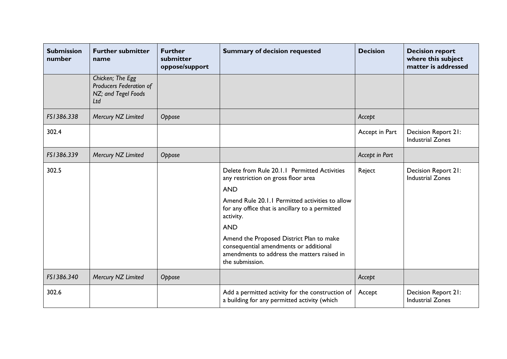| <b>Submission</b><br>number | <b>Further submitter</b><br>name                                          | <b>Further</b><br>submitter<br>oppose/support | <b>Summary of decision requested</b>                                                                                                                 | <b>Decision</b> | <b>Decision report</b><br>where this subject<br>matter is addressed |
|-----------------------------|---------------------------------------------------------------------------|-----------------------------------------------|------------------------------------------------------------------------------------------------------------------------------------------------------|-----------------|---------------------------------------------------------------------|
|                             | Chicken; The Egg<br>Producers Federation of<br>NZ; and Tegel Foods<br>Ltd |                                               |                                                                                                                                                      |                 |                                                                     |
| FS1386.338                  | Mercury NZ Limited                                                        | Oppose                                        |                                                                                                                                                      | Accept          |                                                                     |
| 302.4                       |                                                                           |                                               |                                                                                                                                                      | Accept in Part  | Decision Report 21:<br><b>Industrial Zones</b>                      |
| FS1386.339                  | Mercury NZ Limited                                                        | Oppose                                        |                                                                                                                                                      | Accept in Part  |                                                                     |
| 302.5                       |                                                                           |                                               | Delete from Rule 20.1.1 Permitted Activities<br>any restriction on gross floor area<br><b>AND</b>                                                    | Reject          | Decision Report 21:<br><b>Industrial Zones</b>                      |
|                             |                                                                           |                                               | Amend Rule 20.1.1 Permitted activities to allow<br>for any office that is ancillary to a permitted<br>activity.                                      |                 |                                                                     |
|                             |                                                                           |                                               | <b>AND</b>                                                                                                                                           |                 |                                                                     |
|                             |                                                                           |                                               | Amend the Proposed District Plan to make<br>consequential amendments or additional<br>amendments to address the matters raised in<br>the submission. |                 |                                                                     |
| FS1386.340                  | Mercury NZ Limited                                                        | Oppose                                        |                                                                                                                                                      | Accept          |                                                                     |
| 302.6                       |                                                                           |                                               | Add a permitted activity for the construction of<br>a building for any permitted activity (which                                                     | Accept          | Decision Report 21:<br><b>Industrial Zones</b>                      |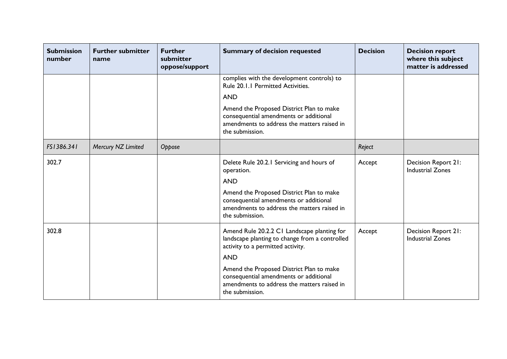| <b>Submission</b><br>number | <b>Further submitter</b><br>name | <b>Further</b><br>submitter<br>oppose/support | <b>Summary of decision requested</b>                                                                                                                 | <b>Decision</b> | <b>Decision report</b><br>where this subject<br>matter is addressed |
|-----------------------------|----------------------------------|-----------------------------------------------|------------------------------------------------------------------------------------------------------------------------------------------------------|-----------------|---------------------------------------------------------------------|
|                             |                                  |                                               | complies with the development controls) to<br>Rule 20.1.1 Permitted Activities.                                                                      |                 |                                                                     |
|                             |                                  |                                               | <b>AND</b>                                                                                                                                           |                 |                                                                     |
|                             |                                  |                                               | Amend the Proposed District Plan to make<br>consequential amendments or additional<br>amendments to address the matters raised in<br>the submission. |                 |                                                                     |
| FS1386.341                  | Mercury NZ Limited               | Oppose                                        |                                                                                                                                                      | Reject          |                                                                     |
| 302.7                       |                                  |                                               | Delete Rule 20.2.1 Servicing and hours of<br>operation.                                                                                              | Accept          | Decision Report 21:<br><b>Industrial Zones</b>                      |
|                             |                                  |                                               | <b>AND</b>                                                                                                                                           |                 |                                                                     |
|                             |                                  |                                               | Amend the Proposed District Plan to make<br>consequential amendments or additional<br>amendments to address the matters raised in<br>the submission. |                 |                                                                     |
| 302.8                       |                                  |                                               | Amend Rule 20.2.2 C1 Landscape planting for<br>landscape planting to change from a controlled<br>activity to a permitted activity.                   | Accept          | Decision Report 21:<br><b>Industrial Zones</b>                      |
|                             |                                  |                                               | <b>AND</b>                                                                                                                                           |                 |                                                                     |
|                             |                                  |                                               | Amend the Proposed District Plan to make<br>consequential amendments or additional<br>amendments to address the matters raised in<br>the submission. |                 |                                                                     |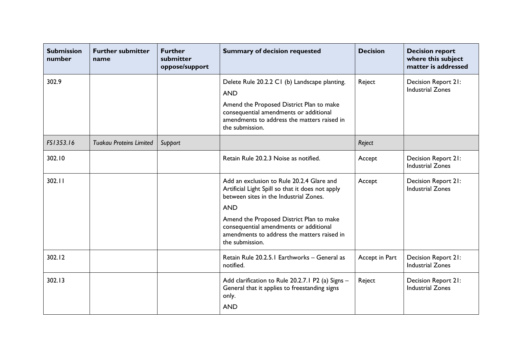| <b>Submission</b><br>number | <b>Further submitter</b><br>name | <b>Further</b><br>submitter<br>oppose/support | <b>Summary of decision requested</b>                                                                                                                                                                                | <b>Decision</b> | <b>Decision report</b><br>where this subject<br>matter is addressed |
|-----------------------------|----------------------------------|-----------------------------------------------|---------------------------------------------------------------------------------------------------------------------------------------------------------------------------------------------------------------------|-----------------|---------------------------------------------------------------------|
| 302.9                       |                                  |                                               | Delete Rule 20.2.2 C1 (b) Landscape planting.<br><b>AND</b><br>Amend the Proposed District Plan to make<br>consequential amendments or additional<br>amendments to address the matters raised in<br>the submission. | Reject          | Decision Report 21:<br><b>Industrial Zones</b>                      |
| FS1353.16                   | <b>Tuakau Proteins Limited</b>   | Support                                       |                                                                                                                                                                                                                     | Reject          |                                                                     |
| 302.10                      |                                  |                                               | Retain Rule 20.2.3 Noise as notified.                                                                                                                                                                               | Accept          | Decision Report 21:<br><b>Industrial Zones</b>                      |
| 302.11                      |                                  |                                               | Add an exclusion to Rule 20.2.4 Glare and<br>Artificial Light Spill so that it does not apply<br>between sites in the Industrial Zones.<br><b>AND</b>                                                               | Accept          | Decision Report 21:<br><b>Industrial Zones</b>                      |
|                             |                                  |                                               | Amend the Proposed District Plan to make<br>consequential amendments or additional<br>amendments to address the matters raised in<br>the submission.                                                                |                 |                                                                     |
| 302.12                      |                                  |                                               | Retain Rule 20.2.5.1 Earthworks - General as<br>notified.                                                                                                                                                           | Accept in Part  | Decision Report 21:<br><b>Industrial Zones</b>                      |
| 302.13                      |                                  |                                               | Add clarification to Rule 20.2.7.1 P2 (a) Signs -<br>General that it applies to freestanding signs<br>only.<br><b>AND</b>                                                                                           | Reject          | Decision Report 21:<br><b>Industrial Zones</b>                      |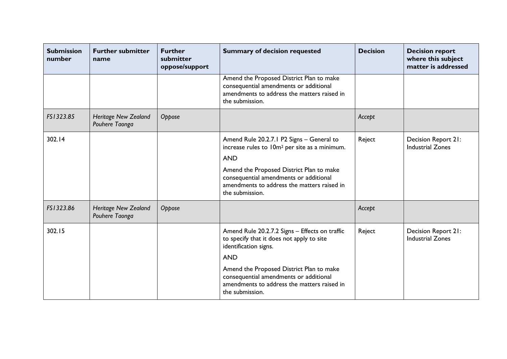| <b>Submission</b><br>number | <b>Further submitter</b><br>name              | <b>Further</b><br>submitter<br>oppose/support | <b>Summary of decision requested</b>                                                                                                                                                                                                                                                       | <b>Decision</b> | <b>Decision report</b><br>where this subject<br>matter is addressed |
|-----------------------------|-----------------------------------------------|-----------------------------------------------|--------------------------------------------------------------------------------------------------------------------------------------------------------------------------------------------------------------------------------------------------------------------------------------------|-----------------|---------------------------------------------------------------------|
|                             |                                               |                                               | Amend the Proposed District Plan to make<br>consequential amendments or additional<br>amendments to address the matters raised in<br>the submission.                                                                                                                                       |                 |                                                                     |
| FS1323.85                   | <b>Heritage New Zealand</b><br>Pouhere Taonga | Oppose                                        |                                                                                                                                                                                                                                                                                            | Accept          |                                                                     |
| 302.14                      |                                               |                                               | Amend Rule 20.2.7.1 P2 Signs - General to<br>increase rules to 10m <sup>2</sup> per site as a minimum.<br><b>AND</b><br>Amend the Proposed District Plan to make<br>consequential amendments or additional<br>amendments to address the matters raised in<br>the submission.               | Reject          | Decision Report 21:<br><b>Industrial Zones</b>                      |
| FS1323.86                   | <b>Heritage New Zealand</b><br>Pouhere Taonga | Oppose                                        |                                                                                                                                                                                                                                                                                            | Accept          |                                                                     |
| 302.15                      |                                               |                                               | Amend Rule 20.2.7.2 Signs - Effects on traffic<br>to specify that it does not apply to site<br>identification signs.<br><b>AND</b><br>Amend the Proposed District Plan to make<br>consequential amendments or additional<br>amendments to address the matters raised in<br>the submission. | Reject          | Decision Report 21:<br><b>Industrial Zones</b>                      |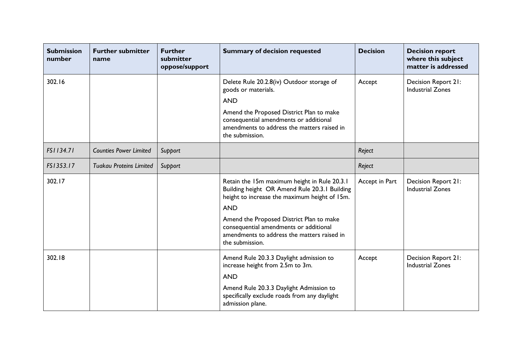| <b>Submission</b><br>number | <b>Further submitter</b><br>name | <b>Further</b><br>submitter<br>oppose/support | <b>Summary of decision requested</b>                                                                                                                 | <b>Decision</b> | <b>Decision report</b><br>where this subject<br>matter is addressed |
|-----------------------------|----------------------------------|-----------------------------------------------|------------------------------------------------------------------------------------------------------------------------------------------------------|-----------------|---------------------------------------------------------------------|
| 302.16                      |                                  |                                               | Delete Rule 20.2.8(iv) Outdoor storage of<br>goods or materials.<br><b>AND</b><br>Amend the Proposed District Plan to make                           | Accept          | Decision Report 21:<br><b>Industrial Zones</b>                      |
|                             |                                  |                                               | consequential amendments or additional<br>amendments to address the matters raised in<br>the submission.                                             |                 |                                                                     |
| FS1134.71                   | <b>Counties Power Limited</b>    | Support                                       |                                                                                                                                                      | Reject          |                                                                     |
| FS1353.17                   | <b>Tuakau Proteins Limited</b>   | Support                                       |                                                                                                                                                      | Reject          |                                                                     |
| 302.17                      |                                  |                                               | Retain the 15m maximum height in Rule 20.3.1<br>Building height OR Amend Rule 20.3.1 Building<br>height to increase the maximum height of 15m.       | Accept in Part  | Decision Report 21:<br><b>Industrial Zones</b>                      |
|                             |                                  |                                               | <b>AND</b>                                                                                                                                           |                 |                                                                     |
|                             |                                  |                                               | Amend the Proposed District Plan to make<br>consequential amendments or additional<br>amendments to address the matters raised in<br>the submission. |                 |                                                                     |
| 302.18                      |                                  |                                               | Amend Rule 20.3.3 Daylight admission to<br>increase height from 2.5m to 3m.<br><b>AND</b>                                                            | Accept          | Decision Report 21:<br><b>Industrial Zones</b>                      |
|                             |                                  |                                               | Amend Rule 20.3.3 Daylight Admission to<br>specifically exclude roads from any daylight<br>admission plane.                                          |                 |                                                                     |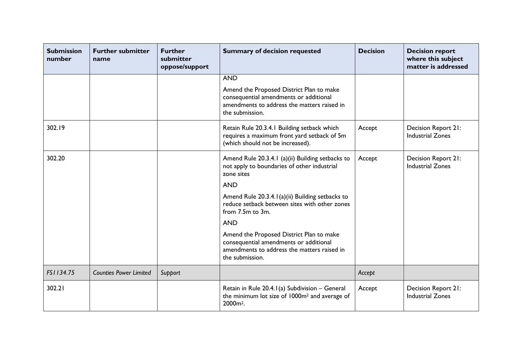| <b>Submission</b><br>number | <b>Further submitter</b><br>name | <b>Further</b><br>submitter<br>oppose/support | <b>Summary of decision requested</b>                                                                                                                 | <b>Decision</b> | <b>Decision report</b><br>where this subject<br>matter is addressed |
|-----------------------------|----------------------------------|-----------------------------------------------|------------------------------------------------------------------------------------------------------------------------------------------------------|-----------------|---------------------------------------------------------------------|
|                             |                                  |                                               | <b>AND</b>                                                                                                                                           |                 |                                                                     |
|                             |                                  |                                               | Amend the Proposed District Plan to make<br>consequential amendments or additional<br>amendments to address the matters raised in<br>the submission. |                 |                                                                     |
| 302.19                      |                                  |                                               | Retain Rule 20.3.4.1 Building setback which<br>requires a maximum front yard setback of 5m<br>(which should not be increased).                       | Accept          | Decision Report 21:<br><b>Industrial Zones</b>                      |
| 302.20                      |                                  |                                               | Amend Rule 20.3.4.1 (a)(ii) Building setbacks to<br>not apply to boundaries of other industrial<br>zone sites                                        | Accept          | Decision Report 21:<br><b>Industrial Zones</b>                      |
|                             |                                  |                                               | <b>AND</b>                                                                                                                                           |                 |                                                                     |
|                             |                                  |                                               | Amend Rule 20.3.4.1(a)(ii) Building setbacks to<br>reduce setback between sites with other zones<br>from 7.5m to 3m.                                 |                 |                                                                     |
|                             |                                  |                                               | <b>AND</b>                                                                                                                                           |                 |                                                                     |
|                             |                                  |                                               | Amend the Proposed District Plan to make<br>consequential amendments or additional<br>amendments to address the matters raised in<br>the submission. |                 |                                                                     |
| FS1134.75                   | <b>Counties Power Limited</b>    | Support                                       |                                                                                                                                                      | Accept          |                                                                     |
| 302.21                      |                                  |                                               | Retain in Rule 20.4.1(a) Subdivision - General<br>the minimum lot size of 1000m <sup>2</sup> and average of<br>2000 <sub>m<sup>2</sup>.</sub>        | Accept          | Decision Report 21:<br><b>Industrial Zones</b>                      |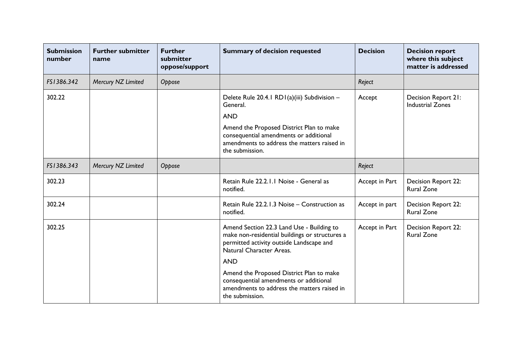| <b>Submission</b><br>number | <b>Further submitter</b><br>name | <b>Further</b><br>submitter<br>oppose/support | <b>Summary of decision requested</b>                                                                                                                                | <b>Decision</b> | <b>Decision report</b><br>where this subject<br>matter is addressed |
|-----------------------------|----------------------------------|-----------------------------------------------|---------------------------------------------------------------------------------------------------------------------------------------------------------------------|-----------------|---------------------------------------------------------------------|
| FS1386.342                  | Mercury NZ Limited               | Oppose                                        |                                                                                                                                                                     | Reject          |                                                                     |
| 302.22                      |                                  |                                               | Delete Rule 20.4.1 RD1(a)(iii) Subdivision -<br>General.                                                                                                            | Accept          | Decision Report 21:<br><b>Industrial Zones</b>                      |
|                             |                                  |                                               | <b>AND</b>                                                                                                                                                          |                 |                                                                     |
|                             |                                  |                                               | Amend the Proposed District Plan to make<br>consequential amendments or additional<br>amendments to address the matters raised in<br>the submission.                |                 |                                                                     |
| FS1386.343                  | Mercury NZ Limited               | Oppose                                        |                                                                                                                                                                     | Reject          |                                                                     |
| 302.23                      |                                  |                                               | Retain Rule 22.2.1.1 Noise - General as<br>notified.                                                                                                                | Accept in Part  | Decision Report 22:<br><b>Rural Zone</b>                            |
| 302.24                      |                                  |                                               | Retain Rule 22.2.1.3 Noise – Construction as<br>notified.                                                                                                           | Accept in part  | <b>Decision Report 22:</b><br><b>Rural Zone</b>                     |
| 302.25                      |                                  |                                               | Amend Section 22.3 Land Use - Building to<br>make non-residential buildings or structures a<br>permitted activity outside Landscape and<br>Natural Character Areas. | Accept in Part  | Decision Report 22:<br><b>Rural Zone</b>                            |
|                             |                                  |                                               | <b>AND</b>                                                                                                                                                          |                 |                                                                     |
|                             |                                  |                                               | Amend the Proposed District Plan to make<br>consequential amendments or additional<br>amendments to address the matters raised in<br>the submission.                |                 |                                                                     |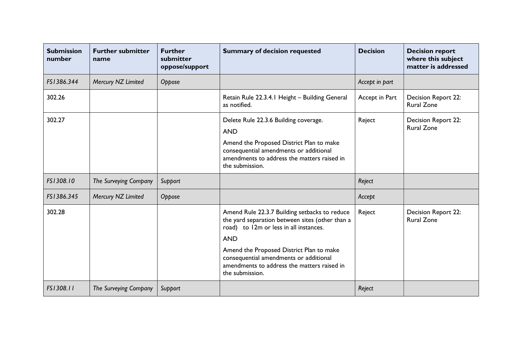| <b>Submission</b><br>number | <b>Further submitter</b><br>name | <b>Further</b><br>submitter<br>oppose/support | <b>Summary of decision requested</b>                                                                                                                     | <b>Decision</b> | <b>Decision report</b><br>where this subject<br>matter is addressed |
|-----------------------------|----------------------------------|-----------------------------------------------|----------------------------------------------------------------------------------------------------------------------------------------------------------|-----------------|---------------------------------------------------------------------|
| FS1386.344                  | Mercury NZ Limited               | Oppose                                        |                                                                                                                                                          | Accept in part  |                                                                     |
| 302.26                      |                                  |                                               | Retain Rule 22.3.4.1 Height - Building General<br>as notified.                                                                                           | Accept in Part  | Decision Report 22:<br><b>Rural Zone</b>                            |
| 302.27                      |                                  |                                               | Delete Rule 22.3.6 Building coverage.<br><b>AND</b>                                                                                                      | Reject          | Decision Report 22:<br><b>Rural Zone</b>                            |
|                             |                                  |                                               | Amend the Proposed District Plan to make<br>consequential amendments or additional<br>amendments to address the matters raised in<br>the submission.     |                 |                                                                     |
| FS1308.10                   | The Surveying Company            | Support                                       |                                                                                                                                                          | Reject          |                                                                     |
| FS1386.345                  | Mercury NZ Limited               | Oppose                                        |                                                                                                                                                          | Accept          |                                                                     |
| 302.28                      |                                  |                                               | Amend Rule 22.3.7 Building setbacks to reduce<br>the yard separation between sites (other than a<br>road) to 12m or less in all instances.<br><b>AND</b> | Reject          | Decision Report 22:<br><b>Rural Zone</b>                            |
|                             |                                  |                                               | Amend the Proposed District Plan to make<br>consequential amendments or additional<br>amendments to address the matters raised in<br>the submission.     |                 |                                                                     |
| FS1308.11                   | The Surveying Company            | Support                                       |                                                                                                                                                          | Reject          |                                                                     |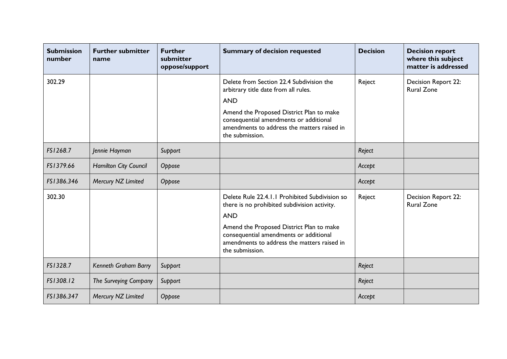| <b>Submission</b><br>number | <b>Further submitter</b><br>name | <b>Further</b><br>submitter<br>oppose/support | <b>Summary of decision requested</b>                                                                                                                                                                                                                                 | <b>Decision</b> | <b>Decision report</b><br>where this subject<br>matter is addressed |
|-----------------------------|----------------------------------|-----------------------------------------------|----------------------------------------------------------------------------------------------------------------------------------------------------------------------------------------------------------------------------------------------------------------------|-----------------|---------------------------------------------------------------------|
| 302.29                      |                                  |                                               | Delete from Section 22.4 Subdivision the<br>arbitrary title date from all rules.<br><b>AND</b><br>Amend the Proposed District Plan to make<br>consequential amendments or additional<br>amendments to address the matters raised in<br>the submission.               | Reject          | Decision Report 22:<br><b>Rural Zone</b>                            |
| FS1268.7                    | Jennie Hayman                    | Support                                       |                                                                                                                                                                                                                                                                      | Reject          |                                                                     |
| FS1379.66                   | <b>Hamilton City Council</b>     | Oppose                                        |                                                                                                                                                                                                                                                                      | Accept          |                                                                     |
| FS1386.346                  | Mercury NZ Limited               | Oppose                                        |                                                                                                                                                                                                                                                                      | Accept          |                                                                     |
| 302.30                      |                                  |                                               | Delete Rule 22.4.1.1 Prohibited Subdivision so<br>there is no prohibited subdivision activity.<br><b>AND</b><br>Amend the Proposed District Plan to make<br>consequential amendments or additional<br>amendments to address the matters raised in<br>the submission. | Reject          | Decision Report 22:<br><b>Rural Zone</b>                            |
| FS1328.7                    | Kenneth Graham Barry             | Support                                       |                                                                                                                                                                                                                                                                      | Reject          |                                                                     |
| FS1308.12                   | The Surveying Company            | Support                                       |                                                                                                                                                                                                                                                                      | Reject          |                                                                     |
| FS1386.347                  | Mercury NZ Limited               | Oppose                                        |                                                                                                                                                                                                                                                                      | Accept          |                                                                     |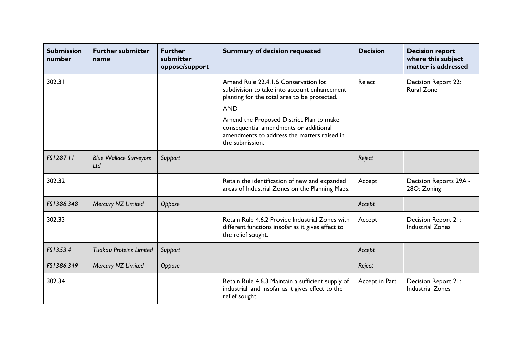| <b>Submission</b><br>number | <b>Further submitter</b><br>name     | <b>Further</b><br>submitter<br>oppose/support | <b>Summary of decision requested</b>                                                                                                                                                                                                                                                                       | <b>Decision</b> | <b>Decision report</b><br>where this subject<br>matter is addressed |
|-----------------------------|--------------------------------------|-----------------------------------------------|------------------------------------------------------------------------------------------------------------------------------------------------------------------------------------------------------------------------------------------------------------------------------------------------------------|-----------------|---------------------------------------------------------------------|
| 302.31                      |                                      |                                               | Amend Rule 22.4.1.6 Conservation lot<br>subdivision to take into account enhancement<br>planting for the total area to be protected.<br><b>AND</b><br>Amend the Proposed District Plan to make<br>consequential amendments or additional<br>amendments to address the matters raised in<br>the submission. | Reject          | <b>Decision Report 22:</b><br><b>Rural Zone</b>                     |
| FS1287.11                   | <b>Blue Wallace Surveyors</b><br>Ltd | Support                                       |                                                                                                                                                                                                                                                                                                            | Reject          |                                                                     |
| 302.32                      |                                      |                                               | Retain the identification of new and expanded<br>areas of Industrial Zones on the Planning Maps.                                                                                                                                                                                                           | Accept          | Decision Reports 29A -<br>28O: Zoning                               |
| FS1386.348                  | Mercury NZ Limited                   | Oppose                                        |                                                                                                                                                                                                                                                                                                            | Accept          |                                                                     |
| 302.33                      |                                      |                                               | Retain Rule 4.6.2 Provide Industrial Zones with<br>different functions insofar as it gives effect to<br>the relief sought.                                                                                                                                                                                 | Accept          | Decision Report 21:<br><b>Industrial Zones</b>                      |
| FS1353.4                    | <b>Tuakau Proteins Limited</b>       | Support                                       |                                                                                                                                                                                                                                                                                                            | Accept          |                                                                     |
| FS1386.349                  | Mercury NZ Limited                   | Oppose                                        |                                                                                                                                                                                                                                                                                                            | Reject          |                                                                     |
| 302.34                      |                                      |                                               | Retain Rule 4.6.3 Maintain a sufficient supply of<br>industrial land insofar as it gives effect to the<br>relief sought.                                                                                                                                                                                   | Accept in Part  | Decision Report 21:<br><b>Industrial Zones</b>                      |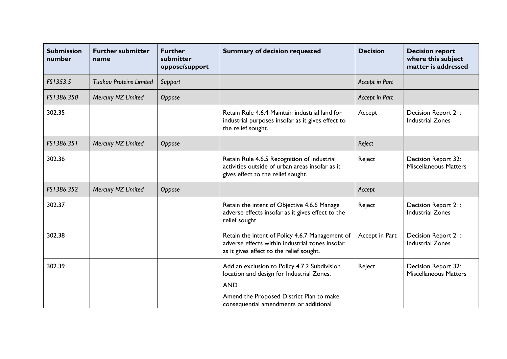| <b>Submission</b><br>number | <b>Further submitter</b><br>name | <b>Further</b><br>submitter<br>oppose/support | <b>Summary of decision requested</b>                                                                                                                | <b>Decision</b> | <b>Decision report</b><br>where this subject<br>matter is addressed |
|-----------------------------|----------------------------------|-----------------------------------------------|-----------------------------------------------------------------------------------------------------------------------------------------------------|-----------------|---------------------------------------------------------------------|
| FS1353.5                    | <b>Tuakau Proteins Limited</b>   | Support                                       |                                                                                                                                                     | Accept in Part  |                                                                     |
| FS1386.350                  | Mercury NZ Limited               | Oppose                                        |                                                                                                                                                     | Accept in Part  |                                                                     |
| 302.35                      |                                  |                                               | Retain Rule 4.6.4 Maintain industrial land for<br>industrial purposes insofar as it gives effect to<br>the relief sought.                           | Accept          | Decision Report 21:<br><b>Industrial Zones</b>                      |
| FS1386.351                  | Mercury NZ Limited               | Oppose                                        |                                                                                                                                                     | Reject          |                                                                     |
| 302.36                      |                                  |                                               | Retain Rule 4.6.5 Recognition of industrial<br>activities outside of urban areas insofar as it<br>gives effect to the relief sought.                | Reject          | Decision Report 32:<br><b>Miscellaneous Matters</b>                 |
| FS1386.352                  | Mercury NZ Limited               | Oppose                                        |                                                                                                                                                     | Accept          |                                                                     |
| 302.37                      |                                  |                                               | Retain the intent of Objective 4.6.6 Manage<br>adverse effects insofar as it gives effect to the<br>relief sought.                                  | Reject          | Decision Report 21:<br><b>Industrial Zones</b>                      |
| 302.38                      |                                  |                                               | Retain the intent of Policy 4.6.7 Management of<br>adverse effects within industrial zones insofar<br>as it gives effect to the relief sought.      | Accept in Part  | Decision Report 21:<br><b>Industrial Zones</b>                      |
| 302.39                      |                                  |                                               | Add an exclusion to Policy 4.7.2 Subdivision<br>location and design for Industrial Zones.<br><b>AND</b><br>Amend the Proposed District Plan to make | Reject          | Decision Report 32:<br><b>Miscellaneous Matters</b>                 |
|                             |                                  |                                               | consequential amendments or additional                                                                                                              |                 |                                                                     |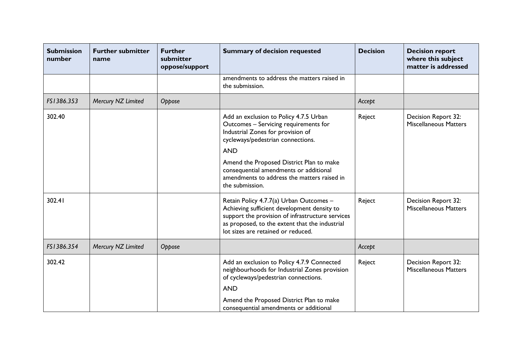| <b>Submission</b><br>number | <b>Further submitter</b><br>name | <b>Further</b><br>submitter<br>oppose/support | <b>Summary of decision requested</b>                                                                                                                                                                                                                                                                                            | <b>Decision</b> | <b>Decision report</b><br>where this subject<br>matter is addressed |
|-----------------------------|----------------------------------|-----------------------------------------------|---------------------------------------------------------------------------------------------------------------------------------------------------------------------------------------------------------------------------------------------------------------------------------------------------------------------------------|-----------------|---------------------------------------------------------------------|
|                             |                                  |                                               | amendments to address the matters raised in<br>the submission.                                                                                                                                                                                                                                                                  |                 |                                                                     |
| FS1386.353                  | Mercury NZ Limited               | Oppose                                        |                                                                                                                                                                                                                                                                                                                                 | Accept          |                                                                     |
| 302.40                      |                                  |                                               | Add an exclusion to Policy 4.7.5 Urban<br>Outcomes - Servicing requirements for<br>Industrial Zones for provision of<br>cycleways/pedestrian connections.<br><b>AND</b><br>Amend the Proposed District Plan to make<br>consequential amendments or additional<br>amendments to address the matters raised in<br>the submission. | Reject          | Decision Report 32:<br><b>Miscellaneous Matters</b>                 |
| 302.41                      |                                  |                                               | Retain Policy 4.7.7(a) Urban Outcomes -<br>Achieving sufficient development density to<br>support the provision of infrastructure services<br>as proposed, to the extent that the industrial<br>lot sizes are retained or reduced.                                                                                              | Reject          | Decision Report 32:<br><b>Miscellaneous Matters</b>                 |
| FS1386.354                  | Mercury NZ Limited               | Oppose                                        |                                                                                                                                                                                                                                                                                                                                 | Accept          |                                                                     |
| 302.42                      |                                  |                                               | Add an exclusion to Policy 4.7.9 Connected<br>neighbourhoods for Industrial Zones provision<br>of cycleways/pedestrian connections.<br><b>AND</b><br>Amend the Proposed District Plan to make<br>consequential amendments or additional                                                                                         | Reject          | Decision Report 32:<br><b>Miscellaneous Matters</b>                 |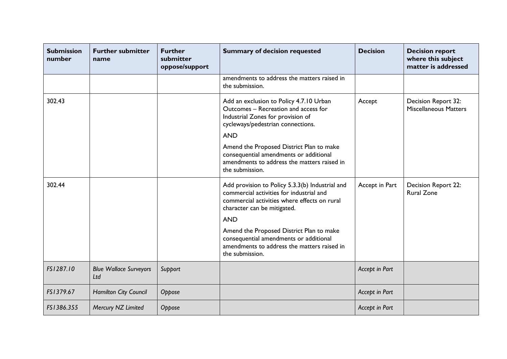| <b>Submission</b><br>number | <b>Further submitter</b><br>name     | <b>Further</b><br>submitter<br>oppose/support | <b>Summary of decision requested</b>                                                                                                                                                                                                                                                                                                             | <b>Decision</b> | <b>Decision report</b><br>where this subject<br>matter is addressed |
|-----------------------------|--------------------------------------|-----------------------------------------------|--------------------------------------------------------------------------------------------------------------------------------------------------------------------------------------------------------------------------------------------------------------------------------------------------------------------------------------------------|-----------------|---------------------------------------------------------------------|
|                             |                                      |                                               | amendments to address the matters raised in<br>the submission.                                                                                                                                                                                                                                                                                   |                 |                                                                     |
| 302.43                      |                                      |                                               | Add an exclusion to Policy 4.7.10 Urban<br>Outcomes - Recreation and access for<br>Industrial Zones for provision of<br>cycleways/pedestrian connections.<br><b>AND</b><br>Amend the Proposed District Plan to make<br>consequential amendments or additional<br>amendments to address the matters raised in<br>the submission.                  | Accept          | Decision Report 32:<br><b>Miscellaneous Matters</b>                 |
| 302.44                      |                                      |                                               | Add provision to Policy 5.3.3(b) Industrial and<br>commercial activities for industrial and<br>commercial activities where effects on rural<br>character can be mitigated.<br><b>AND</b><br>Amend the Proposed District Plan to make<br>consequential amendments or additional<br>amendments to address the matters raised in<br>the submission. | Accept in Part  | Decision Report 22:<br><b>Rural Zone</b>                            |
| FS1287.10                   | <b>Blue Wallace Surveyors</b><br>Ltd | Support                                       |                                                                                                                                                                                                                                                                                                                                                  | Accept in Part  |                                                                     |
| FS1379.67                   | <b>Hamilton City Council</b>         | Oppose                                        |                                                                                                                                                                                                                                                                                                                                                  | Accept in Part  |                                                                     |
| FS1386.355                  | Mercury NZ Limited                   | Oppose                                        |                                                                                                                                                                                                                                                                                                                                                  | Accept in Part  |                                                                     |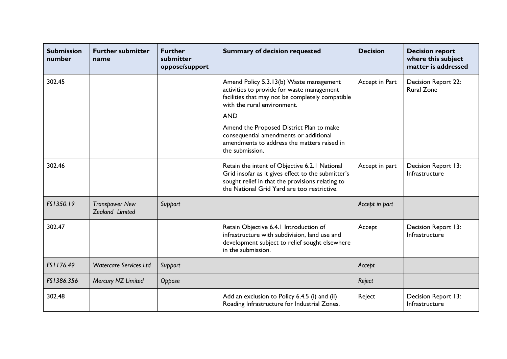| <b>Submission</b><br>number | <b>Further submitter</b><br>name         | <b>Further</b><br>submitter<br>oppose/support | <b>Summary of decision requested</b>                                                                                                                                                                   | <b>Decision</b> | <b>Decision report</b><br>where this subject<br>matter is addressed |
|-----------------------------|------------------------------------------|-----------------------------------------------|--------------------------------------------------------------------------------------------------------------------------------------------------------------------------------------------------------|-----------------|---------------------------------------------------------------------|
| 302.45                      |                                          |                                               | Amend Policy 5.3.13(b) Waste management<br>activities to provide for waste management<br>facilities that may not be completely compatible<br>with the rural environment.                               | Accept in Part  | Decision Report 22:<br><b>Rural Zone</b>                            |
|                             |                                          |                                               | <b>AND</b><br>Amend the Proposed District Plan to make<br>consequential amendments or additional<br>amendments to address the matters raised in<br>the submission.                                     |                 |                                                                     |
| 302.46                      |                                          |                                               | Retain the intent of Objective 6.2.1 National<br>Grid insofar as it gives effect to the submitter's<br>sought relief in that the provisions relating to<br>the National Grid Yard are too restrictive. | Accept in part  | Decision Report 13:<br>Infrastructure                               |
| FS1350.19                   | <b>Transpower New</b><br>Zealand Limited | Support                                       |                                                                                                                                                                                                        | Accept in part  |                                                                     |
| 302.47                      |                                          |                                               | Retain Objective 6.4.1 Introduction of<br>infrastructure with subdivision, land use and<br>development subject to relief sought elsewhere<br>in the submission.                                        | Accept          | Decision Report 13:<br>Infrastructure                               |
| FS1176.49                   | <b>Watercare Services Ltd</b>            | Support                                       |                                                                                                                                                                                                        | Accept          |                                                                     |
| FS1386.356                  | Mercury NZ Limited                       | Oppose                                        |                                                                                                                                                                                                        | Reject          |                                                                     |
| 302.48                      |                                          |                                               | Add an exclusion to Policy 6.4.5 (i) and (ii)<br>Roading Infrastructure for Industrial Zones.                                                                                                          | Reject          | Decision Report 13:<br>Infrastructure                               |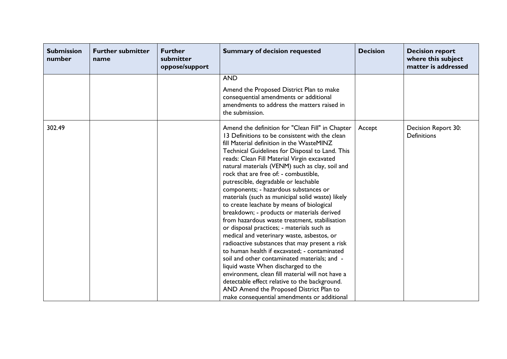| <b>Submission</b><br>number | <b>Further submitter</b><br>name | <b>Further</b><br>submitter<br>oppose/support | <b>Summary of decision requested</b>                                                                                                                                                                                                                                                                                                                                                                                                                                                                                                                                                                                                                                                                                                                                                                                                                                                                                                                                                                                                                                                                               | <b>Decision</b> | <b>Decision report</b><br>where this subject<br>matter is addressed |
|-----------------------------|----------------------------------|-----------------------------------------------|--------------------------------------------------------------------------------------------------------------------------------------------------------------------------------------------------------------------------------------------------------------------------------------------------------------------------------------------------------------------------------------------------------------------------------------------------------------------------------------------------------------------------------------------------------------------------------------------------------------------------------------------------------------------------------------------------------------------------------------------------------------------------------------------------------------------------------------------------------------------------------------------------------------------------------------------------------------------------------------------------------------------------------------------------------------------------------------------------------------------|-----------------|---------------------------------------------------------------------|
|                             |                                  |                                               | <b>AND</b>                                                                                                                                                                                                                                                                                                                                                                                                                                                                                                                                                                                                                                                                                                                                                                                                                                                                                                                                                                                                                                                                                                         |                 |                                                                     |
|                             |                                  |                                               | Amend the Proposed District Plan to make<br>consequential amendments or additional<br>amendments to address the matters raised in<br>the submission.                                                                                                                                                                                                                                                                                                                                                                                                                                                                                                                                                                                                                                                                                                                                                                                                                                                                                                                                                               |                 |                                                                     |
| 302.49                      |                                  |                                               | Amend the definition for "Clean Fill" in Chapter<br>13 Definitions to be consistent with the clean<br>fill Material definition in the WasteMINZ<br>Technical Guidelines for Disposal to Land. This<br>reads: Clean Fill Material Virgin excavated<br>natural materials (VENM) such as clay, soil and<br>rock that are free of: - combustible,<br>putrescible, degradable or leachable<br>components; - hazardous substances or<br>materials (such as municipal solid waste) likely<br>to create leachate by means of biological<br>breakdown; - products or materials derived<br>from hazardous waste treatment, stabilisation<br>or disposal practices; - materials such as<br>medical and veterinary waste, asbestos, or<br>radioactive substances that may present a risk<br>to human health if excavated; - contaminated<br>soil and other contaminated materials; and -<br>liquid waste When discharged to the<br>environment, clean fill material will not have a<br>detectable effect relative to the background.<br>AND Amend the Proposed District Plan to<br>make consequential amendments or additional | Accept          | Decision Report 30:<br><b>Definitions</b>                           |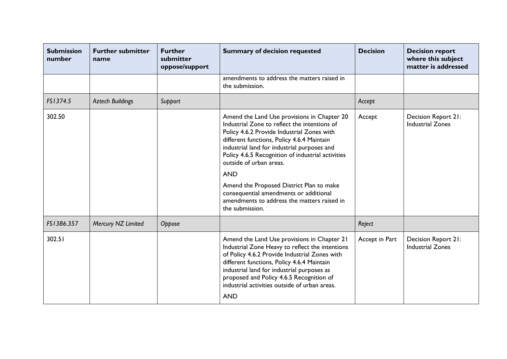| <b>Submission</b><br>number | <b>Further submitter</b><br>name | <b>Further</b><br>submitter<br>oppose/support | <b>Summary of decision requested</b>                                                                                                                                                                                                                                                                                                                                                                                                                                                         | <b>Decision</b> | <b>Decision report</b><br>where this subject<br>matter is addressed |
|-----------------------------|----------------------------------|-----------------------------------------------|----------------------------------------------------------------------------------------------------------------------------------------------------------------------------------------------------------------------------------------------------------------------------------------------------------------------------------------------------------------------------------------------------------------------------------------------------------------------------------------------|-----------------|---------------------------------------------------------------------|
|                             |                                  |                                               | amendments to address the matters raised in<br>the submission.                                                                                                                                                                                                                                                                                                                                                                                                                               |                 |                                                                     |
| FS1374.5                    | <b>Aztech Buildings</b>          | Support                                       |                                                                                                                                                                                                                                                                                                                                                                                                                                                                                              | Accept          |                                                                     |
| 302.50                      |                                  |                                               | Amend the Land Use provisions in Chapter 20<br>Industrial Zone to reflect the intentions of<br>Policy 4.6.2 Provide Industrial Zones with<br>different functions, Policy 4.6.4 Maintain<br>industrial land for industrial purposes and<br>Policy 4.6.5 Recognition of industrial activities<br>outside of urban areas.<br><b>AND</b><br>Amend the Proposed District Plan to make<br>consequential amendments or additional<br>amendments to address the matters raised in<br>the submission. | Accept          | Decision Report 21:<br><b>Industrial Zones</b>                      |
| FS1386.357                  | Mercury NZ Limited               | Oppose                                        |                                                                                                                                                                                                                                                                                                                                                                                                                                                                                              | Reject          |                                                                     |
| 302.51                      |                                  |                                               | Amend the Land Use provisions in Chapter 21<br>Industrial Zone Heavy to reflect the intentions<br>of Policy 4.6.2 Provide Industrial Zones with<br>different functions, Policy 4.6.4 Maintain<br>industrial land for industrial purposes as<br>proposed and Policy 4.6.5 Recognition of<br>industrial activities outside of urban areas.<br><b>AND</b>                                                                                                                                       | Accept in Part  | Decision Report 21:<br><b>Industrial Zones</b>                      |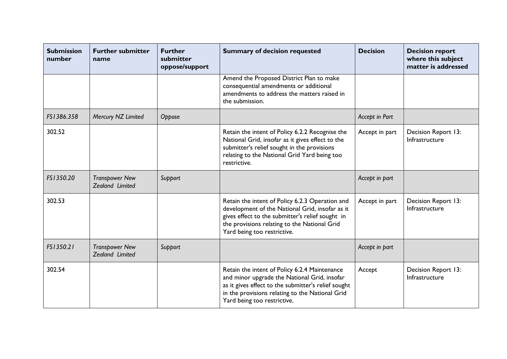| <b>Submission</b><br>number | <b>Further submitter</b><br>name         | <b>Further</b><br>submitter<br>oppose/support | <b>Summary of decision requested</b>                                                                                                                                                                                                   | <b>Decision</b> | <b>Decision report</b><br>where this subject<br>matter is addressed |
|-----------------------------|------------------------------------------|-----------------------------------------------|----------------------------------------------------------------------------------------------------------------------------------------------------------------------------------------------------------------------------------------|-----------------|---------------------------------------------------------------------|
|                             |                                          |                                               | Amend the Proposed District Plan to make<br>consequential amendments or additional<br>amendments to address the matters raised in<br>the submission.                                                                                   |                 |                                                                     |
| FS1386.358                  | Mercury NZ Limited                       | Oppose                                        |                                                                                                                                                                                                                                        | Accept in Part  |                                                                     |
| 302.52                      |                                          |                                               | Retain the intent of Policy 6.2.2 Recognise the<br>National Grid, insofar as it gives effect to the<br>submitter's relief sought in the provisions<br>relating to the National Grid Yard being too<br>restrictive.                     | Accept in part  | Decision Report 13:<br>Infrastructure                               |
| FS1350.20                   | <b>Transpower New</b><br>Zealand Limited | Support                                       |                                                                                                                                                                                                                                        | Accept in part  |                                                                     |
| 302.53                      |                                          |                                               | Retain the intent of Policy 6.2.3 Operation and<br>development of the National Grid, insofar as it<br>gives effect to the submitter's relief sought in<br>the provisions relating to the National Grid<br>Yard being too restrictive.  | Accept in part  | Decision Report 13:<br>Infrastructure                               |
| FS1350.21                   | <b>Transpower New</b><br>Zealand Limited | Support                                       |                                                                                                                                                                                                                                        | Accept in part  |                                                                     |
| 302.54                      |                                          |                                               | Retain the intent of Policy 6.2.4 Maintenance<br>and minor upgrade the National Grid, insofar<br>as it gives effect to the submitter's relief sought<br>in the provisions relating to the National Grid<br>Yard being too restrictive. | Accept          | Decision Report 13:<br>Infrastructure                               |